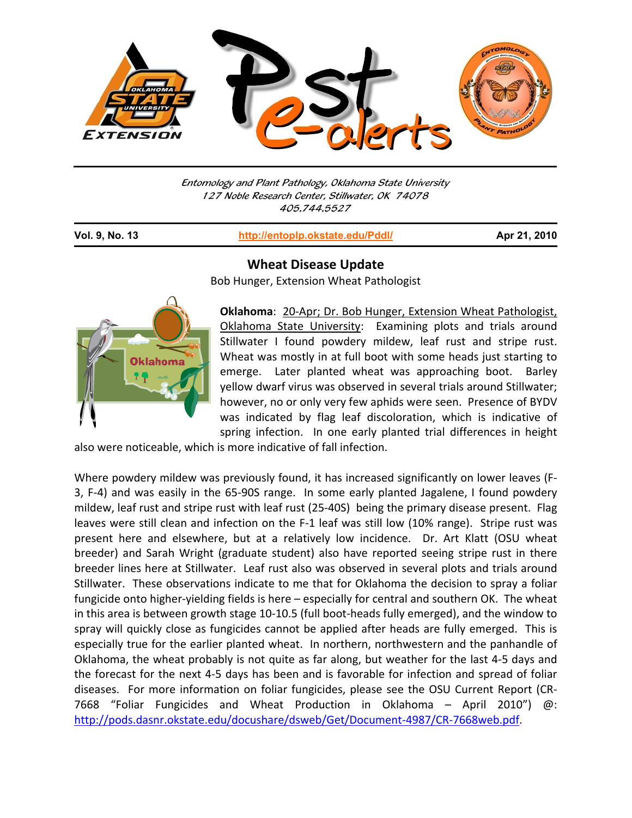

Entomology and Plant Pathology, Oklahoma State University 127 Noble Research Center, Stillwater, OK 74078 405.744.5527

j

**Vol. 9, No. 13 http://entoplp.okstate.edu/Pddl/ Apr 21, 2010**



**Wheat Disease Update**

Bob Hunger, Extension Wheat Pathologist

**Oklahoma**: 20‐Apr; Dr. Bob Hunger, Extension Wheat Pathologist, Oklahoma State University: Examining plots and trials around Stillwater I found powdery mildew, leaf rust and stripe rust. Wheat was mostly in at full boot with some heads just starting to emerge. Later planted wheat was approaching boot. Barley yellow dwarf virus was observed in several trials around Stillwater; however, no or only very few aphids were seen. Presence of BYDV was indicated by flag leaf discoloration, which is indicative of spring infection. In one early planted trial differences in height

also were noticeable, which is more indicative of fall infection.

Where powdery mildew was previously found, it has increased significantly on lower leaves (F-3, F‐4) and was easily in the 65‐90S range. In some early planted Jagalene, I found powdery mildew, leaf rust and stripe rust with leaf rust (25-40S) being the primary disease present. Flag leaves were still clean and infection on the F‐1 leaf was still low (10% range). Stripe rust was present here and elsewhere, but at a relatively low incidence. Dr. Art Klatt (OSU wheat breeder) and Sarah Wright (graduate student) also have reported seeing stripe rust in there breeder lines here at Stillwater. Leaf rust also was observed in several plots and trials around Stillwater. These observations indicate to me that for Oklahoma the decision to spray a foliar fungicide onto higher-yielding fields is here – especially for central and southern OK. The wheat in this area is between growth stage 10‐10.5 (full boot‐heads fully emerged), and the window to spray will quickly close as fungicides cannot be applied after heads are fully emerged. This is especially true for the earlier planted wheat. In northern, northwestern and the panhandle of Oklahoma, the wheat probably is not quite as far along, but weather for the last 4‐5 days and the forecast for the next 4‐5 days has been and is favorable for infection and spread of foliar diseases. For more information on foliar fungicides, please see the OSU Current Report (CR‐ 7668 "Foliar Fungicides and Wheat Production in Oklahoma – April 2010") @: http://pods.dasnr.okstate.edu/docushare/dsweb/Get/Document‐4987/CR‐7668web.pdf.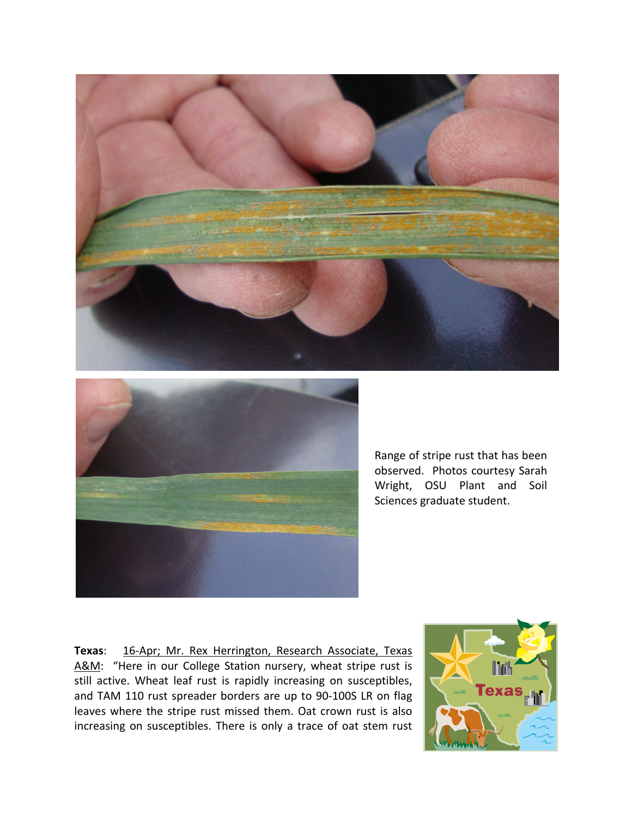



Range of stripe rust that has been observed. Photos courtesy Sarah Wright, OSU Plant and Soil Sciences graduate student.

**Texas**: 16‐Apr; Mr. Rex Herrington, Research Associate, Texas A&M: "Here in our College Station nursery, wheat stripe rust is still active. Wheat leaf rust is rapidly increasing on susceptibles, and TAM 110 rust spreader borders are up to 90‐100S LR on flag leaves where the stripe rust missed them. Oat crown rust is also increasing on susceptibles. There is only a trace of oat stem rust